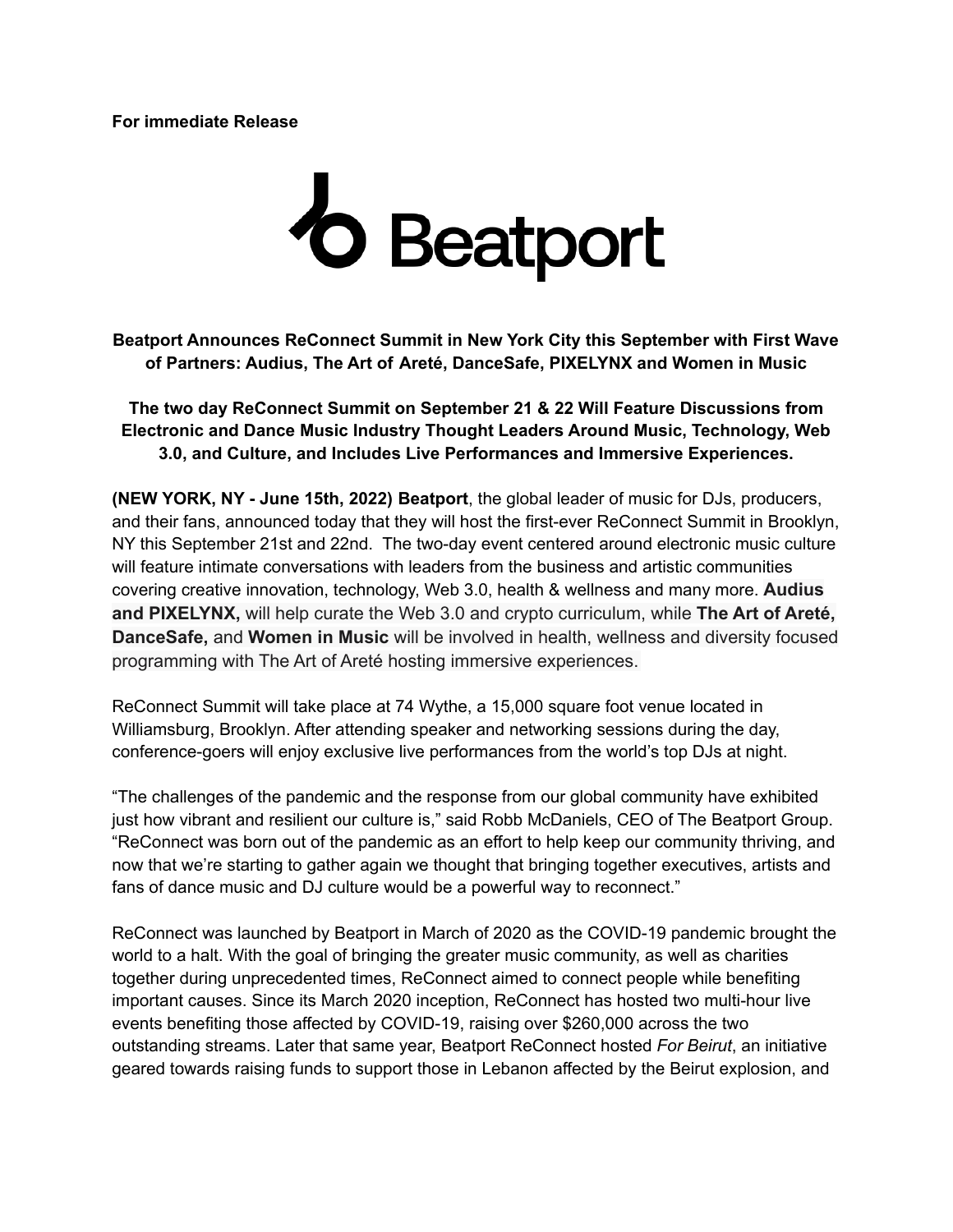**For immediate Release**



**Beatport Announces ReConnect Summit in New York City this September with First Wave of Partners: Audius, The Art of Areté, DanceSafe, PIXELYNX and Women in Music**

**The two day ReConnect Summit on September 21 & 22 Will Feature Discussions from Electronic and Dance Music Industry Thought Leaders Around Music, Technology, Web 3.0, and Culture, and Includes Live Performances and Immersive Experiences.**

**(NEW YORK, NY - June 15th, 2022) Beatport**, the global leader of music for DJs, producers, and their fans, announced today that they will host the first-ever ReConnect Summit in Brooklyn, NY this September 21st and 22nd. The two-day event centered around electronic music culture will feature intimate conversations with leaders from the business and artistic communities covering creative innovation, technology, Web 3.0, health & wellness and many more. **Audius and PIXELYNX,** will help curate the Web 3.0 and crypto curriculum, while **The Art of Areté, DanceSafe,** and **Women in Music** will be involved in health, wellness and diversity focused programming with The Art of Areté hosting immersive experiences.

ReConnect Summit will take place at 74 Wythe, a 15,000 square foot venue located in Williamsburg, Brooklyn. After attending speaker and networking sessions during the day, conference-goers will enjoy exclusive live performances from the world's top DJs at night.

"The challenges of the pandemic and the response from our global community have exhibited just how vibrant and resilient our culture is," said Robb McDaniels, CEO of The Beatport Group. "ReConnect was born out of the pandemic as an effort to help keep our community thriving, and now that we're starting to gather again we thought that bringing together executives, artists and fans of dance music and DJ culture would be a powerful way to reconnect."

ReConnect was launched by Beatport in March of 2020 as the COVID-19 pandemic brought the world to a halt. With the goal of bringing the greater music community, as well as charities together during unprecedented times, ReConnect aimed to connect people while benefiting important causes. Since its March 2020 inception, ReConnect has hosted two multi-hour live events benefiting those affected by COVID-19, raising over \$260,000 across the two outstanding streams. Later that same year, Beatport ReConnect hosted *For Beirut*, an initiative geared towards raising funds to support those in Lebanon affected by the Beirut explosion, and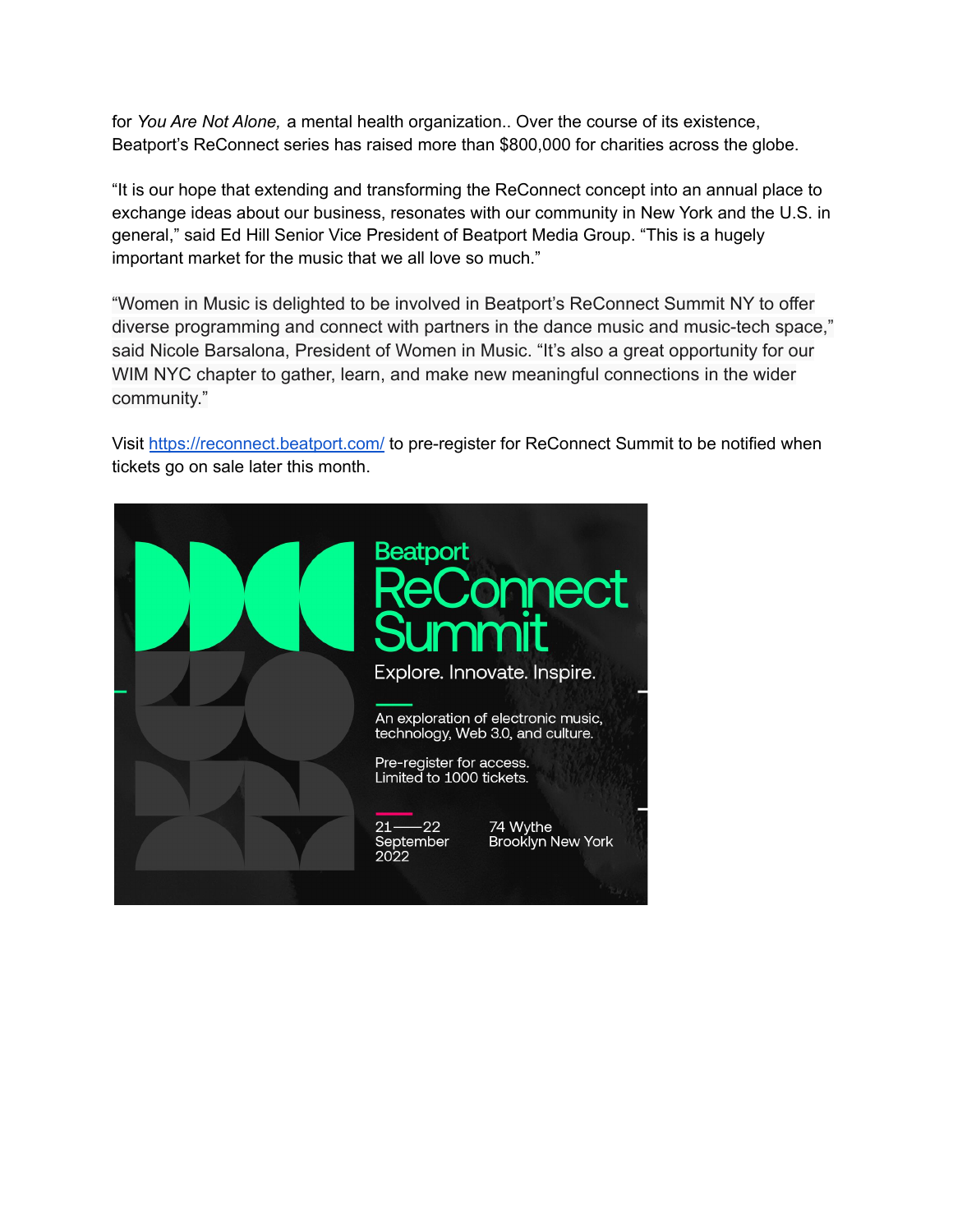for *You Are Not Alone,* a mental health organization.. Over the course of its existence, Beatport's ReConnect series has raised more than \$800,000 for charities across the globe.

"It is our hope that extending and transforming the ReConnect concept into an annual place to exchange ideas about our business, resonates with our community in New York and the U.S. in general," said Ed Hill Senior Vice President of Beatport Media Group. "This is a hugely important market for the music that we all love so much."

"Women in Music is delighted to be involved in Beatport's ReConnect Summit NY to offer diverse programming and connect with partners in the dance music and music-tech space," said Nicole Barsalona, President of Women in Music. "It's also a great opportunity for our WIM NYC chapter to gather, learn, and make new meaningful connections in the wider community."

Visit <https://reconnect.beatport.com/> to pre-register for ReConnect Summit to be notified when tickets go on sale later this month.